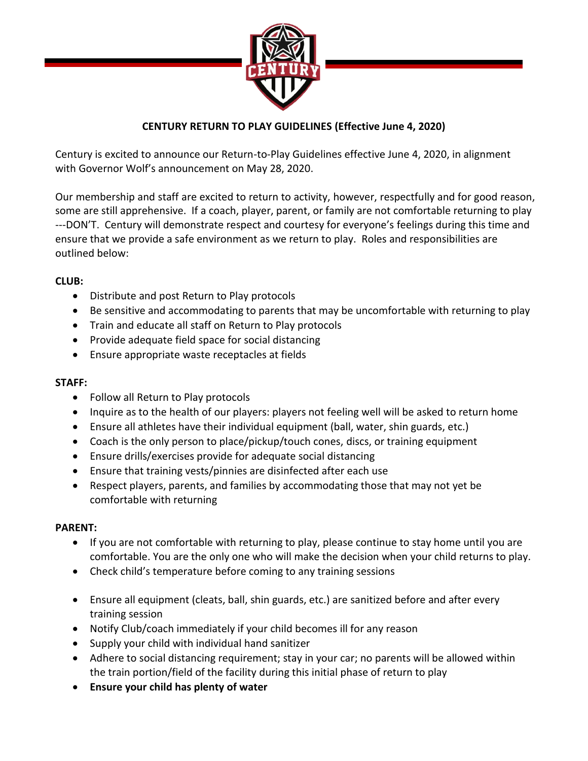

# **CENTURY RETURN TO PLAY GUIDELINES (Effective June 4, 2020)**

Century is excited to announce our Return-to-Play Guidelines effective June 4, 2020, in alignment with Governor Wolf's announcement on May 28, 2020.

Our membership and staff are excited to return to activity, however, respectfully and for good reason, some are still apprehensive. If a coach, player, parent, or family are not comfortable returning to play ---DON'T. Century will demonstrate respect and courtesy for everyone's feelings during this time and ensure that we provide a safe environment as we return to play. Roles and responsibilities are outlined below:

### **CLUB:**

- Distribute and post Return to Play protocols
- Be sensitive and accommodating to parents that may be uncomfortable with returning to play
- Train and educate all staff on Return to Play protocols
- Provide adequate field space for social distancing
- Ensure appropriate waste receptacles at fields

## **STAFF:**

- Follow all Return to Play protocols
- Inquire as to the health of our players: players not feeling well will be asked to return home
- Ensure all athletes have their individual equipment (ball, water, shin guards, etc.)
- Coach is the only person to place/pickup/touch cones, discs, or training equipment
- Ensure drills/exercises provide for adequate social distancing
- Ensure that training vests/pinnies are disinfected after each use
- Respect players, parents, and families by accommodating those that may not yet be comfortable with returning

#### **PARENT:**

- If you are not comfortable with returning to play, please continue to stay home until you are comfortable. You are the only one who will make the decision when your child returns to play.
- Check child's temperature before coming to any training sessions
- Ensure all equipment (cleats, ball, shin guards, etc.) are sanitized before and after every training session
- Notify Club/coach immediately if your child becomes ill for any reason
- Supply your child with individual hand sanitizer
- Adhere to social distancing requirement; stay in your car; no parents will be allowed within the train portion/field of the facility during this initial phase of return to play
- **Ensure your child has plenty of water**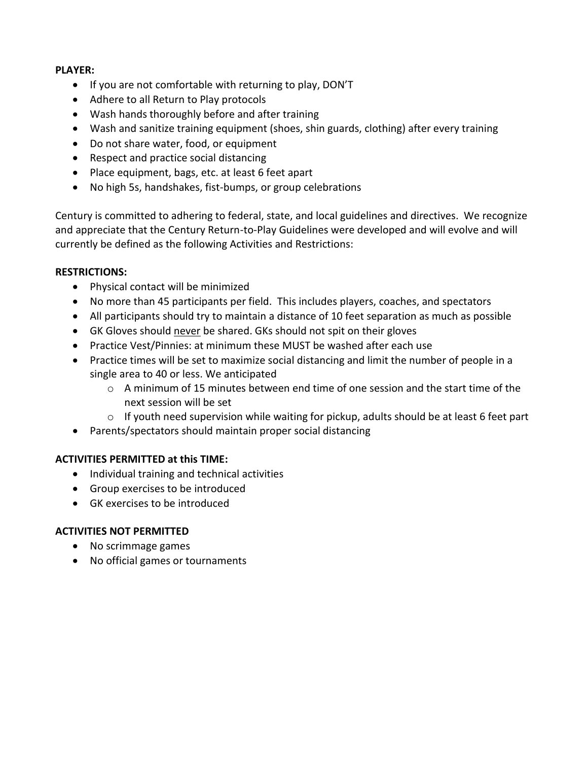#### **PLAYER:**

- If you are not comfortable with returning to play, DON'T
- Adhere to all Return to Play protocols
- Wash hands thoroughly before and after training
- Wash and sanitize training equipment (shoes, shin guards, clothing) after every training
- Do not share water, food, or equipment
- Respect and practice social distancing
- Place equipment, bags, etc. at least 6 feet apart
- No high 5s, handshakes, fist-bumps, or group celebrations

Century is committed to adhering to federal, state, and local guidelines and directives. We recognize and appreciate that the Century Return-to-Play Guidelines were developed and will evolve and will currently be defined as the following Activities and Restrictions:

#### **RESTRICTIONS:**

- Physical contact will be minimized
- No more than 45 participants per field. This includes players, coaches, and spectators
- All participants should try to maintain a distance of 10 feet separation as much as possible
- GK Gloves should never be shared. GKs should not spit on their gloves
- Practice Vest/Pinnies: at minimum these MUST be washed after each use
- Practice times will be set to maximize social distancing and limit the number of people in a single area to 40 or less. We anticipated
	- $\circ$  A minimum of 15 minutes between end time of one session and the start time of the next session will be set
	- $\circ$  If youth need supervision while waiting for pickup, adults should be at least 6 feet part
- Parents/spectators should maintain proper social distancing

# **ACTIVITIES PERMITTED at this TIME:**

- Individual training and technical activities
- Group exercises to be introduced
- GK exercises to be introduced

# **ACTIVITIES NOT PERMITTED**

- No scrimmage games
- No official games or tournaments